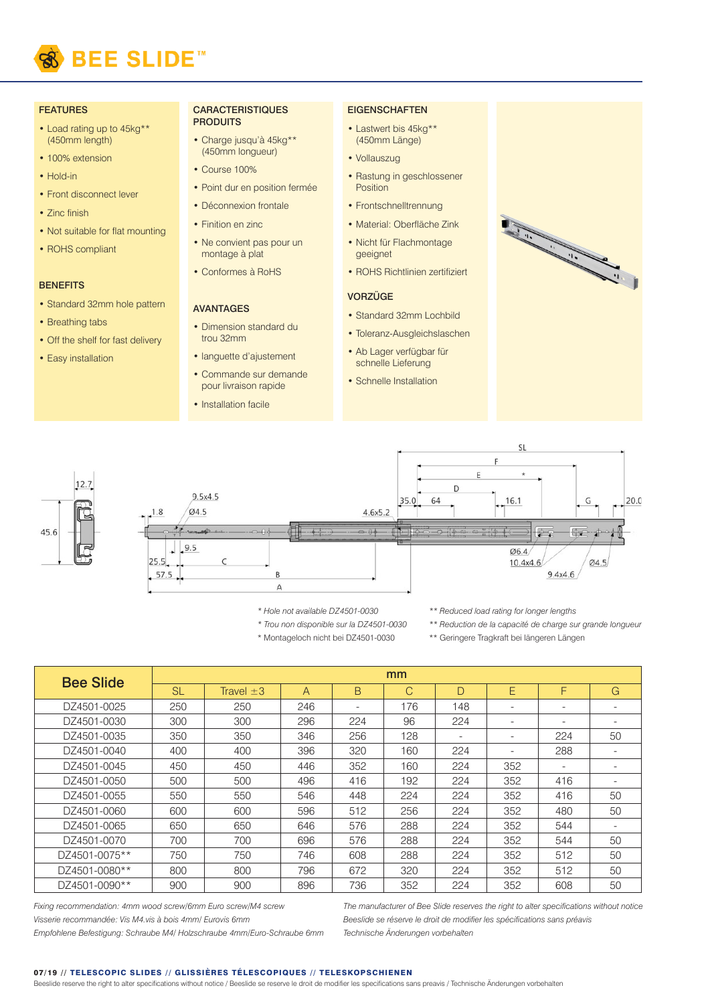

### FEATURES

- Load rating up to 45kg\*\* (450mm length)
- 100% extension
- Hold-in
- Front disconnect lever
- Zinc finish
- Not suitable for flat mounting
- ROHS compliant

## **BENEFITS**

- Standard 32mm hole pattern
- Breathing tabs
- Off the shelf for fast delivery
- Easy installation

#### **CARACTERISTIQUES PRODUITS**

- Charge jusqu'à 45kg\*\* (450mm longueur)
- Course 100%
- Point dur en position fermée
- Déconnexion frontale
- Finition en zinc
- Ne convient pas pour un montage à plat
- Conformes à RoHS

# AVANTAGES

- Dimension standard du trou 32mm
- languette d'ajustement
- Commande sur demande pour livraison rapide
- Installation facile

# **EIGENSCHAFTEN**

- Lastwert bis 45kg\*\* (450mm Länge)
- Vollauszug
- Rastung in geschlossener **Position**
- Frontschnelltrennung
- Material: Oberfläche Zink
- Nicht für Flachmontage geeignet
- ROHS Richtlinien zertifiziert

## **VORZÜGE**

- Standard 32mm Lochbild
- Toleranz-Ausgleichslaschen
- Ab Lager verfügbar für schnelle Lieferung
- Schnelle Installation





- *\* Hole not available DZ4501-0030 \* Trou non disponible sur la DZ4501-0030*
- *\*\* Reduced load rating for longer lengths*
- *\*\* Reduction de la capacité de charge sur grande longueur*
- \* Montageloch nicht bei DZ4501-0030 \*\* Geringere Tragkraft bei längeren Längen

| <b>Bee Slide</b> | mm        |                |     |                          |     |                          |                          |                          |                          |
|------------------|-----------|----------------|-----|--------------------------|-----|--------------------------|--------------------------|--------------------------|--------------------------|
|                  | <b>SL</b> | Travel $\pm 3$ | A   | B                        | C   | D                        | E                        | F                        | G                        |
| DZ4501-0025      | 250       | 250            | 246 | $\overline{\phantom{0}}$ | 176 | 148                      | $\overline{\phantom{a}}$ | $\overline{\phantom{a}}$ | -                        |
| DZ4501-0030      | 300       | 300            | 296 | 224                      | 96  | 224                      | $\overline{\phantom{a}}$ | $\overline{\phantom{a}}$ | -                        |
| DZ4501-0035      | 350       | 350            | 346 | 256                      | 128 | $\overline{\phantom{a}}$ | $\overline{\phantom{a}}$ | 224                      | 50                       |
| DZ4501-0040      | 400       | 400            | 396 | 320                      | 160 | 224                      | $\overline{\phantom{a}}$ | 288                      | $\overline{\phantom{a}}$ |
| DZ4501-0045      | 450       | 450            | 446 | 352                      | 160 | 224                      | 352                      | $\overline{\phantom{a}}$ | -                        |
| DZ4501-0050      | 500       | 500            | 496 | 416                      | 192 | 224                      | 352                      | 416                      | -                        |
| DZ4501-0055      | 550       | 550            | 546 | 448                      | 224 | 224                      | 352                      | 416                      | 50                       |
| DZ4501-0060      | 600       | 600            | 596 | 512                      | 256 | 224                      | 352                      | 480                      | 50                       |
| DZ4501-0065      | 650       | 650            | 646 | 576                      | 288 | 224                      | 352                      | 544                      | -                        |
| DZ4501-0070      | 700       | 700            | 696 | 576                      | 288 | 224                      | 352                      | 544                      | 50                       |
| DZ4501-0075**    | 750       | 750            | 746 | 608                      | 288 | 224                      | 352                      | 512                      | 50                       |
| DZ4501-0080**    | 800       | 800            | 796 | 672                      | 320 | 224                      | 352                      | 512                      | 50                       |
| DZ4501-0090**    | 900       | 900            | 896 | 736                      | 352 | 224                      | 352                      | 608                      | 50                       |

*Fixing recommendation: 4mm wood screw/6mm Euro screw/M4 screw Visserie recommandée: Vis M4.vis à bois 4mm/ Eurovis 6mm*

*The manufacturer of Bee Slide reserves the right to alter specifications without notice Beeslide se réserve le droit de modifier les spécifications sans préavis Technische Änderungen vorbehalten*

*Empfohlene Befestigung: Schraube M4/ Holzschraube 4mm/Euro-Schraube 6mm*

### 07/19 // TELESCOPIC SLIDES // GLISSIÈRES TÉLESCOPIQUES // TELESKOPSCHIENEN

Beeslide reserve the right to alter specifications without notice / Beeslide se reserve le droit de modifier les specifications sans preavis / Technische Änderungen vorbehalten